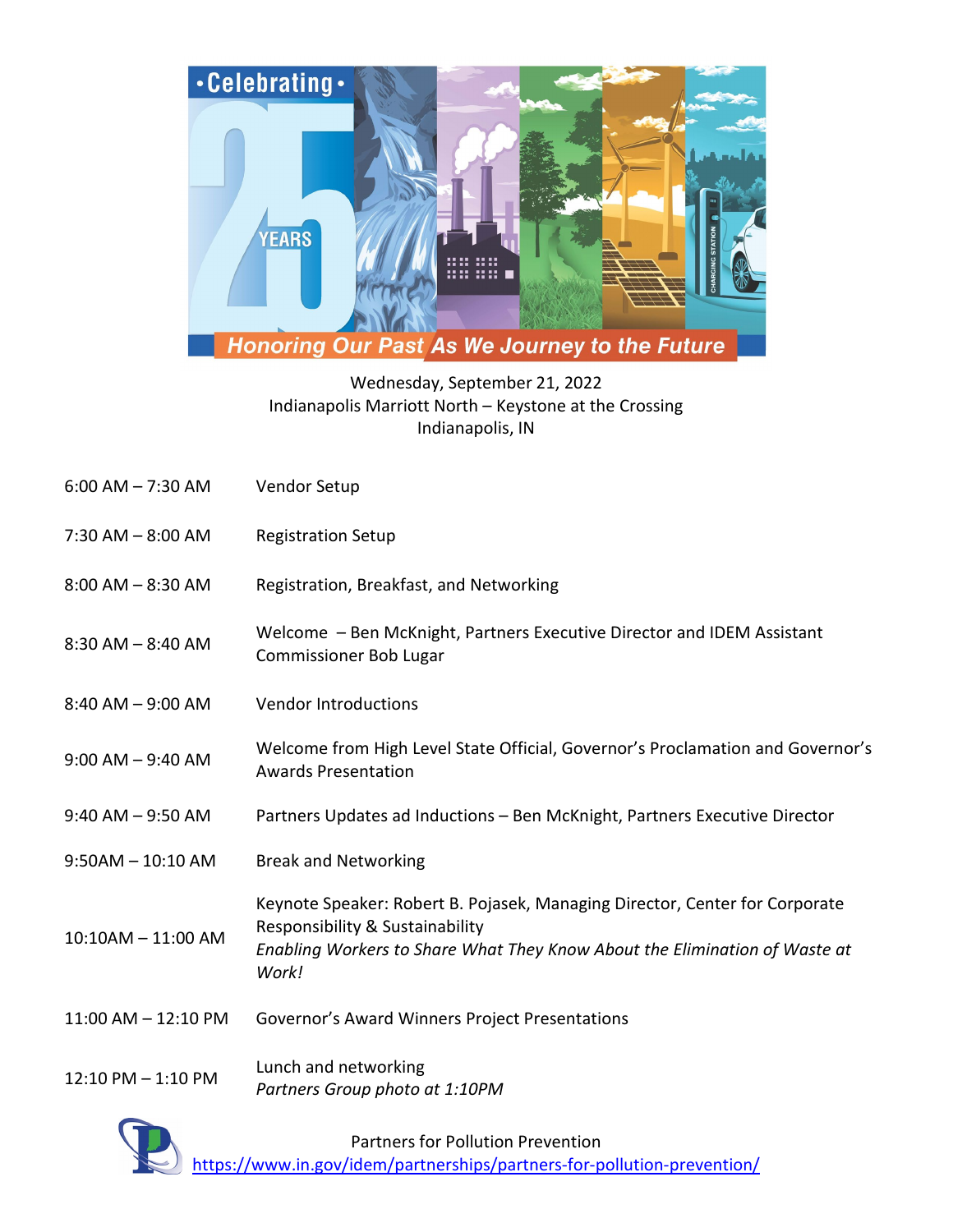

## Wednesday, September 21, 2022 Indianapolis Marriott North – Keystone at the Crossing Indianapolis, IN

- 6:00 AM 7:30 AM Vendor Setup
- 7:30 AM 8:00 AM Registration Setup
- 8:00 AM 8:30 AM Registration, Breakfast, and Networking
- 8:30 AM 8:40 AM Welcome Ben McKnight, Partners Executive Director and IDEM Assistant Commissioner Bob Lugar
- 8:40 AM 9:00 AM Vendor Introductions
- 9:00 AM 9:40 AM Welcome from High Level State Official, Governor's Proclamation and Governor's Awards Presentation
- 9:40 AM 9:50 AM Partners Updates ad Inductions Ben McKnight, Partners Executive Director
- 9:50AM 10:10 AM Break and Networking
- 10:10AM 11:00 AM Keynote Speaker: Robert B. Pojasek, Managing Director, Center for Corporate Responsibility & Sustainability *Enabling Workers to Share What They Know About the Elimination of Waste at Work!*
- 11:00 AM 12:10 PM Governor's Award Winners Project Presentations
- 12:10 PM 1:10 PM Lunch and networking *Partners Group photo at 1:10PM*